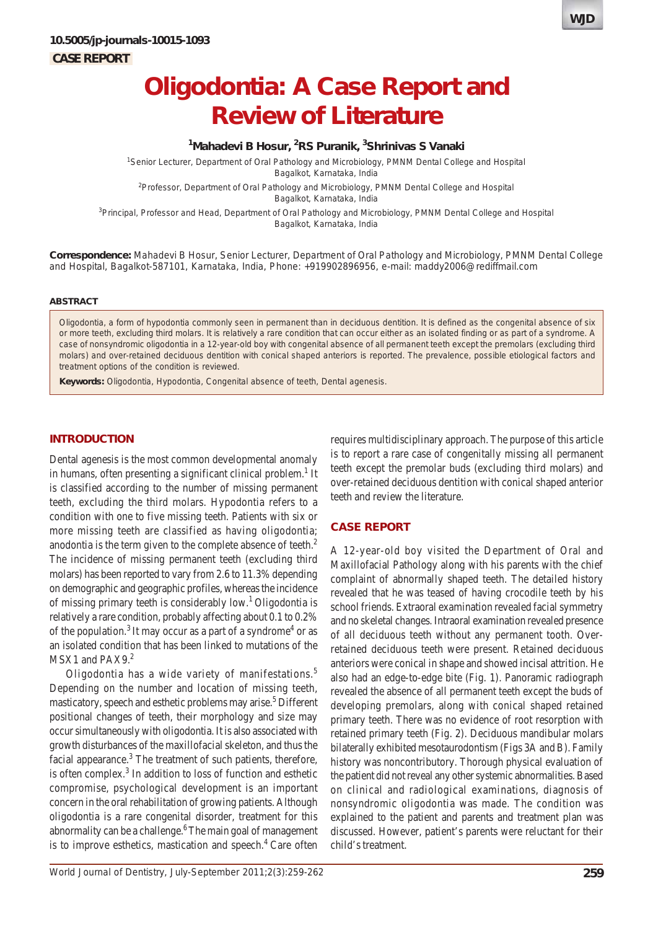

# **Oligodontia: A Case Report and Review of Literature**

## **1 Mahadevi B Hosur, 2 RS Puranik, 3 Shrinivas S Vanaki**

1 Senior Lecturer, Department of Oral Pathology and Microbiology, PMNM Dental College and Hospital Bagalkot, Karnataka, India

<sup>2</sup> Professor, Department of Oral Pathology and Microbiology, PMNM Dental College and Hospital Bagalkot, Karnataka, India

<sup>3</sup>Principal, Professor and Head, Department of Oral Pathology and Microbiology, PMNM Dental College and Hospital Bagalkot, Karnataka, India

**Correspondence:** Mahadevi B Hosur, Senior Lecturer, Department of Oral Pathology and Microbiology, PMNM Dental College and Hospital, Bagalkot-587101, Karnataka, India, Phone: +919902896956, e-mail: maddy2006@rediffmail.com

#### **ABSTRACT**

Oligodontia, a form of hypodontia commonly seen in permanent than in deciduous dentition. It is defined as the congenital absence of six or more teeth, excluding third molars. It is relatively a rare condition that can occur either as an isolated finding or as part of a syndrome. A case of nonsyndromic oligodontia in a 12-year-old boy with congenital absence of all permanent teeth except the premolars (excluding third molars) and over-retained deciduous dentition with conical shaped anteriors is reported. The prevalence, possible etiological factors and treatment options of the condition is reviewed.

**Keywords:** Oligodontia, Hypodontia, Congenital absence of teeth, Dental agenesis.

## **INTRODUCTION**

Dental agenesis is the most common developmental anomaly in humans, often presenting a significant clinical problem.<sup>1</sup> It is classified according to the number of missing permanent teeth, excluding the third molars. Hypodontia refers to a condition with one to five missing teeth. Patients with six or more missing teeth are classified as having oligodontia; anodontia is the term given to the complete absence of teeth.<sup>2</sup> The incidence of missing permanent teeth (excluding third molars) has been reported to vary from 2.6 to 11.3% depending on demographic and geographic profiles, whereas the incidence of missing primary teeth is considerably low.1 Oligodontia is relatively a rare condition, probably affecting about 0.1 to 0.2% of the population.<sup>3</sup> It may occur as a part of a syndrome<sup>4</sup> or as an isolated condition that has been linked to mutations of the MSX1 and PAX9.<sup>2</sup>

Oligodontia has a wide variety of manifestations.<sup>5</sup> Depending on the number and location of missing teeth, masticatory, speech and esthetic problems may arise.<sup>5</sup> Different positional changes of teeth, their morphology and size may occur simultaneously with oligodontia. It is also associated with growth disturbances of the maxillofacial skeleton, and thus the facial appearance.<sup>3</sup> The treatment of such patients, therefore, is often complex. $3$  In addition to loss of function and esthetic compromise, psychological development is an important concern in the oral rehabilitation of growing patients. Although oligodontia is a rare congenital disorder, treatment for this abnormality can be a challenge.<sup>6</sup> The main goal of management is to improve esthetics, mastication and speech. $4$  Care often

requires multidisciplinary approach. The purpose of this article is to report a rare case of congenitally missing all permanent teeth except the premolar buds (excluding third molars) and over-retained deciduous dentition with conical shaped anterior teeth and review the literature.

### **CASE REPORT**

A 12-year-old boy visited the Department of Oral and Maxillofacial Pathology along with his parents with the chief complaint of abnormally shaped teeth. The detailed history revealed that he was teased of having crocodile teeth by his school friends. Extraoral examination revealed facial symmetry and no skeletal changes. Intraoral examination revealed presence of all deciduous teeth without any permanent tooth. Overretained deciduous teeth were present. Retained deciduous anteriors were conical in shape and showed incisal attrition. He also had an edge-to-edge bite (Fig. 1). Panoramic radiograph revealed the absence of all permanent teeth except the buds of developing premolars, along with conical shaped retained primary teeth. There was no evidence of root resorption with retained primary teeth (Fig. 2). Deciduous mandibular molars bilaterally exhibited mesotaurodontism (Figs 3A and B). Family history was noncontributory. Thorough physical evaluation of the patient did not reveal any other systemic abnormalities. Based on clinical and radiological examinations, diagnosis of nonsyndromic oligodontia was made. The condition was explained to the patient and parents and treatment plan was discussed. However, patient's parents were reluctant for their child's treatment.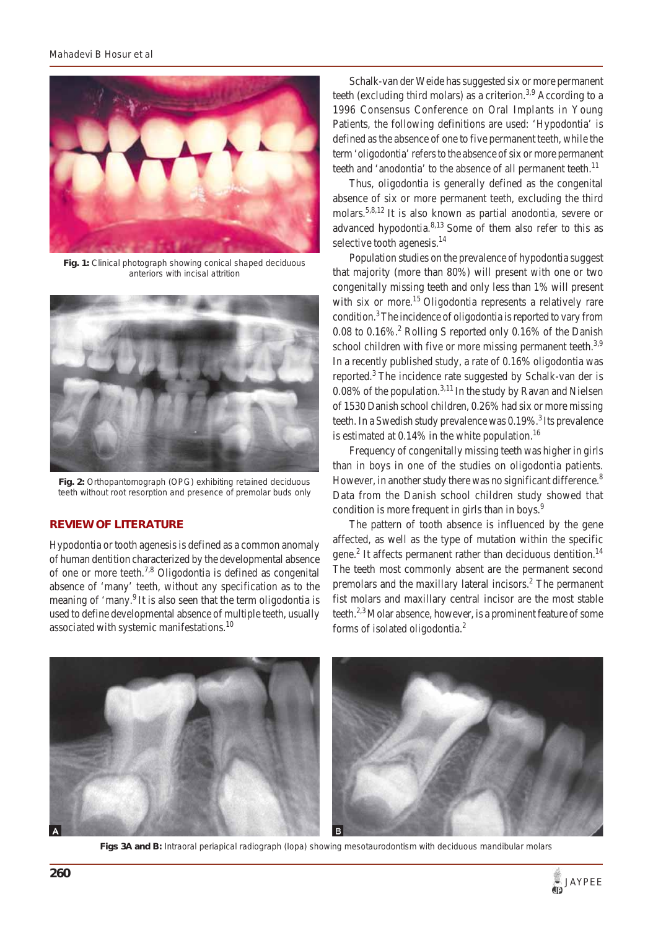

**Fig. 1:** Clinical photograph showing conical shaped deciduous anteriors with incisal attrition



**Fig. 2:** Orthopantomograph (OPG) exhibiting retained deciduous teeth without root resorption and presence of premolar buds only

## **REVIEW OF LITERATURE**

Hypodontia or tooth agenesis is defined as a common anomaly of human dentition characterized by the developmental absence of one or more teeth.7,8 Oligodontia is defined as congenital absence of 'many' teeth, without any specification as to the meaning of 'many.<sup>9</sup> It is also seen that the term oligodontia is used to define developmental absence of multiple teeth, usually associated with systemic manifestations.<sup>10</sup>

Schalk-van der Weide has suggested six or more permanent teeth (excluding third molars) as a criterion.<sup>3,9</sup> According to a 1996 Consensus Conference on Oral Implants in Young Patients, the following definitions are used: 'Hypodontia' is defined as the absence of one to five permanent teeth, while the term 'oligodontia' refers to the absence of six or more permanent teeth and 'anodontia' to the absence of all permanent teeth.<sup>11</sup>

Thus, oligodontia is generally defined as the congenital absence of six or more permanent teeth, excluding the third molars.<sup>5,8,12</sup> It is also known as partial anodontia, severe or advanced hypodontia. $8,13$  Some of them also refer to this as selective tooth agenesis.<sup>14</sup>

Population studies on the prevalence of hypodontia suggest that majority (more than 80%) will present with one or two congenitally missing teeth and only less than 1% will present with six or more.<sup>15</sup> Oligodontia represents a relatively rare condition.3 The incidence of oligodontia is reported to vary from 0.08 to  $0.16\%$ .<sup>2</sup> Rolling S reported only 0.16% of the Danish school children with five or more missing permanent teeth.<sup>3,9</sup> In a recently published study, a rate of 0.16% oligodontia was reported.<sup>3</sup> The incidence rate suggested by Schalk-van der is 0.08% of the population.<sup>3,11</sup> In the study by Ravan and Nielsen of 1530 Danish school children, 0.26% had six or more missing teeth. In a Swedish study prevalence was  $0.19\%$ .<sup>3</sup> Its prevalence is estimated at  $0.14\%$  in the white population.<sup>16</sup>

Frequency of congenitally missing teeth was higher in girls than in boys in one of the studies on oligodontia patients. However, in another study there was no significant difference.<sup>8</sup> Data from the Danish school children study showed that condition is more frequent in girls than in boys.<sup>9</sup>

The pattern of tooth absence is influenced by the gene affected, as well as the type of mutation within the specific gene.<sup>2</sup> It affects permanent rather than deciduous dentition.<sup>14</sup> The teeth most commonly absent are the permanent second premolars and the maxillary lateral incisors.<sup>2</sup> The permanent fist molars and maxillary central incisor are the most stable teeth.<sup>2,3</sup> Molar absence, however, is a prominent feature of some forms of isolated oligodontia.2



**Figs 3A and B:** Intraoral periapical radiograph (Iopa) showing mesotaurodontism with deciduous mandibular molars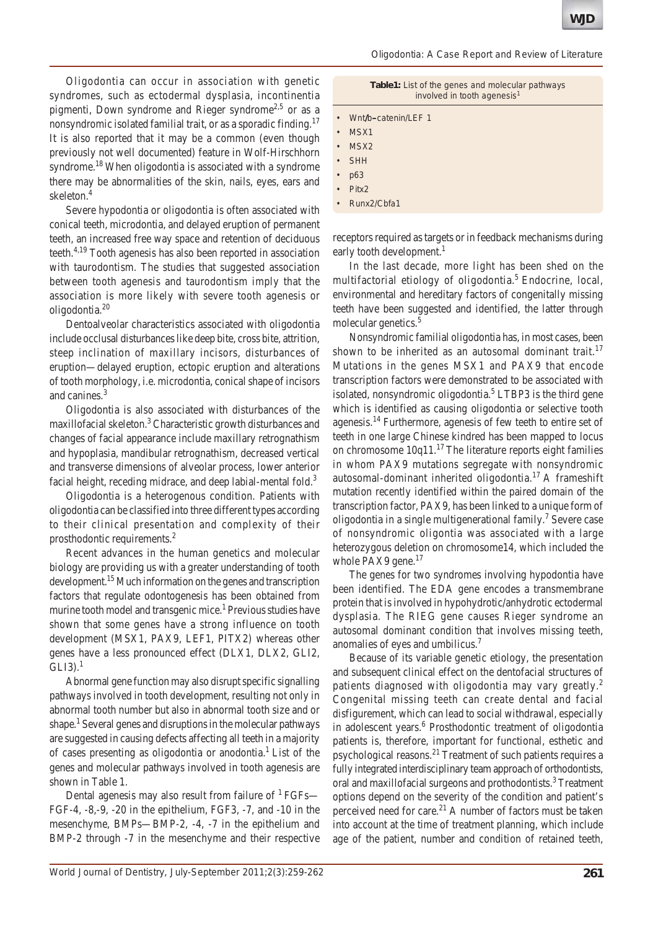Oligodontia can occur in association with genetic syndromes, such as ectodermal dysplasia, incontinentia pigmenti, Down syndrome and Rieger syndrome<sup>2,5</sup> or as a nonsyndromic isolated familial trait, or as a sporadic finding.<sup>17</sup> It is also reported that it may be a common (even though previously not well documented) feature in Wolf-Hirschhorn syndrome.<sup>18</sup> When oligodontia is associated with a syndrome there may be abnormalities of the skin, nails, eyes, ears and skeleton.4

Severe hypodontia or oligodontia is often associated with conical teeth, microdontia, and delayed eruption of permanent teeth, an increased free way space and retention of deciduous teeth.<sup>4,19</sup> Tooth agenesis has also been reported in association with taurodontism. The studies that suggested association between tooth agenesis and taurodontism imply that the association is more likely with severe tooth agenesis or oligodontia.20

Dentoalveolar characteristics associated with oligodontia include occlusal disturbances like deep bite, cross bite, attrition, steep inclination of maxillary incisors, disturbances of eruption—delayed eruption, ectopic eruption and alterations of tooth morphology, i.e. microdontia, conical shape of incisors and canines.<sup>3</sup>

Oligodontia is also associated with disturbances of the maxillofacial skeleton.<sup>3</sup> Characteristic growth disturbances and changes of facial appearance include maxillary retrognathism and hypoplasia, mandibular retrognathism, decreased vertical and transverse dimensions of alveolar process, lower anterior facial height, receding midrace, and deep labial-mental fold. $3$ 

Oligodontia is a heterogenous condition. Patients with oligodontia can be classified into three different types according to their clinical presentation and complexity of their prosthodontic requirements.2

Recent advances in the human genetics and molecular biology are providing us with a greater understanding of tooth development.<sup>15</sup> Much information on the genes and transcription factors that regulate odontogenesis has been obtained from murine tooth model and transgenic mice.<sup>1</sup> Previous studies have shown that some genes have a strong influence on tooth development (MSX1, PAX9, LEF1, PITX2) whereas other genes have a less pronounced effect (DLX1, DLX2, GLI2,  $GLI3$ ).<sup>1</sup>

Abnormal gene function may also disrupt specific signalling pathways involved in tooth development, resulting not only in abnormal tooth number but also in abnormal tooth size and or shape.<sup>1</sup> Several genes and disruptions in the molecular pathways are suggested in causing defects affecting all teeth in a majority of cases presenting as oligodontia or anodontia.1 List of the genes and molecular pathways involved in tooth agenesis are shown in Table 1.

Dental agenesis may also result from failure of  $1$  FGFs— FGF-4, -8,-9, -20 in the epithelium, FGF3, -7, and -10 in the mesenchyme, BMPs—BMP-2, -4, -7 in the epithelium and BMP-2 through -7 in the mesenchyme and their respective

| <b>Table1:</b> List of the genes and molecular pathways<br>involved in tooth agenesis <sup>1</sup> |  |
|----------------------------------------------------------------------------------------------------|--|
|                                                                                                    |  |

|  | Wnt/b-catenin/LEF 1 |  |
|--|---------------------|--|
|--|---------------------|--|

- MSX1
- MSX<sub>2</sub>
- **SHH**
- p63
- Pitx2
- Runx2/Cbfa1

receptors required as targets or in feedback mechanisms during early tooth development.<sup>1</sup>

In the last decade, more light has been shed on the multifactorial etiology of oligodontia.<sup>5</sup> Endocrine, local, environmental and hereditary factors of congenitally missing teeth have been suggested and identified, the latter through molecular genetics.<sup>5</sup>

Nonsyndromic familial oligodontia has, in most cases, been shown to be inherited as an autosomal dominant trait.<sup>17</sup> Mutations in the genes MSX1 and PAX9 that encode transcription factors were demonstrated to be associated with isolated, nonsyndromic oligodontia.<sup>5</sup> LTBP3 is the third gene which is identified as causing oligodontia or selective tooth agenesis.<sup>14</sup> Furthermore, agenesis of few teeth to entire set of teeth in one large Chinese kindred has been mapped to locus on chromosome  $10q11$ .<sup>17</sup> The literature reports eight families in whom PAX9 mutations segregate with nonsyndromic autosomal-dominant inherited oligodontia.<sup>17</sup> A frameshift mutation recently identified within the paired domain of the transcription factor, PAX9, has been linked to a unique form of oligodontia in a single multigenerational family.<sup>7</sup> Severe case of nonsyndromic oligontia was associated with a large heterozygous deletion on chromosome14, which included the whole PAX9 gene. $17$ 

The genes for two syndromes involving hypodontia have been identified. The EDA gene encodes a transmembrane protein that is involved in hypohydrotic/anhydrotic ectodermal dysplasia. The RIEG gene causes Rieger syndrome an autosomal dominant condition that involves missing teeth, anomalies of eyes and umbilicus.7

Because of its variable genetic etiology, the presentation and subsequent clinical effect on the dentofacial structures of patients diagnosed with oligodontia may vary greatly.<sup>2</sup> Congenital missing teeth can create dental and facial disfigurement, which can lead to social withdrawal, especially in adolescent years.<sup>6</sup> Prosthodontic treatment of oligodontia patients is, therefore, important for functional, esthetic and psychological reasons.21 Treatment of such patients requires a fully integrated interdisciplinary team approach of orthodontists, oral and maxillofacial surgeons and prothodontists.<sup>3</sup> Treatment options depend on the severity of the condition and patient's perceived need for care.<sup>21</sup> A number of factors must be taken into account at the time of treatment planning, which include age of the patient, number and condition of retained teeth,